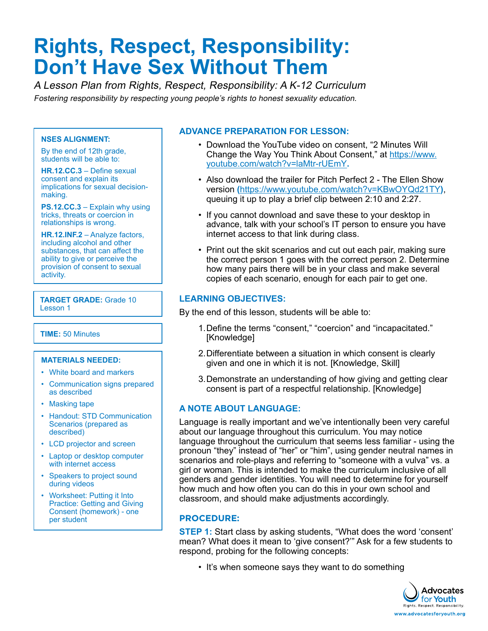# **Rights, Respect, Responsibility: Don't Have Sex Without Them**

A Lesson Plan from Rights, Respect, Responsibility: A K-12 Curriculum Fostering responsibility by respecting young people's rights to honest sexuality education.

#### **NSES ALIGNMENT:**

By the end of 12th grade, students will be able to:

**HR.12.CC.3** – Define sexual consent and explain its implications for sexual decisionmaking.

**PS.12.CC.3** – Explain why using tricks, threats or coercion in relationships is wrong.

**HR.12.INF.2** – Analyze factors, including alcohol and other substances, that can affect the ability to give or perceive the provision of consent to sexual activity.

**TARGET GRADE:** Grade 10 Lesson 1

**TIME:** 50 Minutes

#### **MATERIALS NEEDED:**

- White board and markers
- Communication signs prepared as described
- Masking tape
- Handout: STD Communication Scenarios (prepared as described)
- LCD projector and screen
- Laptop or desktop computer with internet access
- Speakers to project sound during videos
- Worksheet: Putting it Into Practice: Getting and Giving Consent (homework) - one per student

#### **ADVANCE PREPARATION FOR LESSON:**

- Download the YouTube video on consent, "2 Minutes Will Change the Way You Think About Consent," at [https://www.](https://www.youtube.com/watch?v=laMtr-rUEmY) [youtube.com/watch?v=laMtr-rUEmY](https://www.youtube.com/watch?v=laMtr-rUEmY)**.**
- Also download the trailer for Pitch Perfect 2 The Ellen Show version **(**<https://www.youtube.com/watch?v=KBwOYQd21TY>**)**, queuing it up to play a brief clip between 2:10 and 2:27.
- If you cannot download and save these to your desktop in advance, talk with your school's IT person to ensure you have internet access to that link during class.
- Print out the skit scenarios and cut out each pair, making sure the correct person 1 goes with the correct person 2. Determine how many pairs there will be in your class and make several copies of each scenario, enough for each pair to get one.

#### **LEARNING OBJECTIVES:**

By the end of this lesson, students will be able to:

- 1.Define the terms "consent," "coercion" and "incapacitated." [Knowledge]
- 2.Differentiate between a situation in which consent is clearly given and one in which it is not. [Knowledge, Skill]
- 3.Demonstrate an understanding of how giving and getting clear consent is part of a respectful relationship. [Knowledge]

#### **A NOTE ABOUT LANGUAGE:**

Language is really important and we've intentionally been very careful about our language throughout this curriculum. You may notice language throughout the curriculum that seems less familiar - using the pronoun "they" instead of "her" or "him", using gender neutral names in scenarios and role-plays and referring to "someone with a vulva" vs. a girl or woman. This is intended to make the curriculum inclusive of all genders and gender identities. You will need to determine for yourself how much and how often you can do this in your own school and classroom, and should make adjustments accordingly.

#### **PROCEDURE:**

**STEP 1:** Start class by asking students, "What does the word 'consent' mean? What does it mean to 'give consent?'" Ask for a few students to respond, probing for the following concepts:

• It's when someone says they want to do something

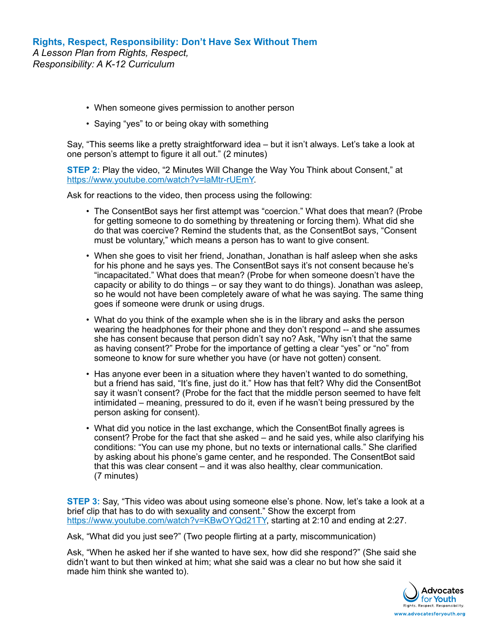- When someone gives permission to another person
- Saying "yes" to or being okay with something

Say, "This seems like a pretty straightforward idea – but it isn't always. Let's take a look at one person's attempt to figure it all out." (2 minutes)

**STEP 2:** Play the video, "2 Minutes Will Change the Way You Think about Consent," at <https://www.youtube.com/watch?v=laMtr-rUEmY>.

Ask for reactions to the video, then process using the following:

- The ConsentBot says her first attempt was "coercion." What does that mean? (Probe for getting someone to do something by threatening or forcing them). What did she do that was coercive? Remind the students that, as the ConsentBot says, "Consent must be voluntary," which means a person has to want to give consent.
- When she goes to visit her friend, Jonathan, Jonathan is half asleep when she asks for his phone and he says yes. The ConsentBot says it's not consent because he's "incapacitated." What does that mean? (Probe for when someone doesn't have the capacity or ability to do things – or say they want to do things). Jonathan was asleep, so he would not have been completely aware of what he was saying. The same thing goes if someone were drunk or using drugs.
- What do you think of the example when she is in the library and asks the person wearing the headphones for their phone and they don't respond -- and she assumes she has consent because that person didn't say no? Ask, "Why isn't that the same as having consent?" Probe for the importance of getting a clear "yes" or "no" from someone to know for sure whether you have (or have not gotten) consent.
- Has anyone ever been in a situation where they haven't wanted to do something, but a friend has said, "It's fine, just do it." How has that felt? Why did the ConsentBot say it wasn't consent? (Probe for the fact that the middle person seemed to have felt intimidated – meaning, pressured to do it, even if he wasn't being pressured by the person asking for consent).
- What did you notice in the last exchange, which the ConsentBot finally agrees is consent? Probe for the fact that she asked – and he said yes, while also clarifying his conditions: "You can use my phone, but no texts or international calls." She clarified by asking about his phone's game center, and he responded. The ConsentBot said that this was clear consent – and it was also healthy, clear communication. (7 minutes)

**STEP 3:** Say, "This video was about using someone else's phone. Now, let's take a look at a brief clip that has to do with sexuality and consent." Show the excerpt from <https://www.youtube.com/watch?v=KBwOYQd21TY>, starting at 2:10 and ending at 2:27.

Ask, "What did you just see?" (Two people flirting at a party, miscommunication)

Ask, "When he asked her if she wanted to have sex, how did she respond?" (She said she didn't want to but then winked at him; what she said was a clear no but how she said it made him think she wanted to).

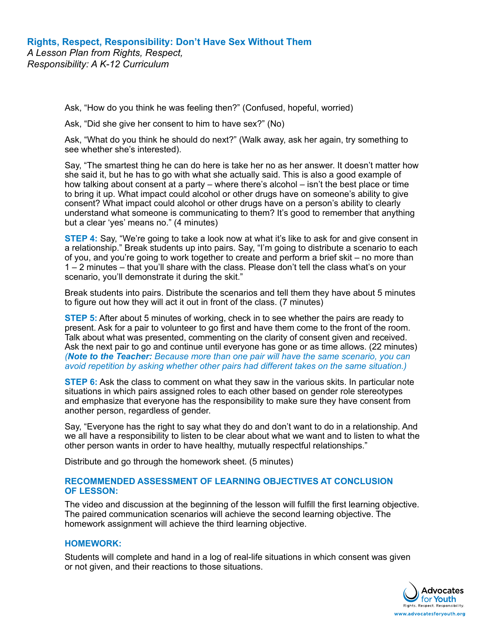Ask, "How do you think he was feeling then?" (Confused, hopeful, worried)

Ask, "Did she give her consent to him to have sex?" (No)

Ask, "What do you think he should do next?" (Walk away, ask her again, try something to see whether she's interested).

Say, "The smartest thing he can do here is take her no as her answer. It doesn't matter how she said it, but he has to go with what she actually said. This is also a good example of how talking about consent at a party – where there's alcohol – isn't the best place or time to bring it up. What impact could alcohol or other drugs have on someone's ability to give consent? What impact could alcohol or other drugs have on a person's ability to clearly understand what someone is communicating to them? It's good to remember that anything but a clear 'yes' means no." (4 minutes)

**STEP 4:** Say, "We're going to take a look now at what it's like to ask for and give consent in a relationship." Break students up into pairs. Say, "I'm going to distribute a scenario to each of you, and you're going to work together to create and perform a brief skit – no more than 1 – 2 minutes – that you'll share with the class. Please don't tell the class what's on your scenario, you'll demonstrate it during the skit."

Break students into pairs. Distribute the scenarios and tell them they have about 5 minutes to figure out how they will act it out in front of the class. (7 minutes)

**STEP 5:** After about 5 minutes of working, check in to see whether the pairs are ready to present. Ask for a pair to volunteer to go first and have them come to the front of the room. Talk about what was presented, commenting on the clarity of consent given and received. Ask the next pair to go and continue until everyone has gone or as time allows. (22 minutes) *(Note to the Teacher: Because more than one pair will have the same scenario, you can avoid repetition by asking whether other pairs had different takes on the same situation.)*

**STEP 6:** Ask the class to comment on what they saw in the various skits. In particular note situations in which pairs assigned roles to each other based on gender role stereotypes and emphasize that everyone has the responsibility to make sure they have consent from another person, regardless of gender.

Say, "Everyone has the right to say what they do and don't want to do in a relationship. And we all have a responsibility to listen to be clear about what we want and to listen to what the other person wants in order to have healthy, mutually respectful relationships."

Distribute and go through the homework sheet. (5 minutes)

#### **RECOMMENDED ASSESSMENT OF LEARNING OBJECTIVES AT CONCLUSION OF LESSON:**

The video and discussion at the beginning of the lesson will fulfill the first learning objective. The paired communication scenarios will achieve the second learning objective. The homework assignment will achieve the third learning objective.

### **HOMEWORK:**

Students will complete and hand in a log of real-life situations in which consent was given or not given, and their reactions to those situations.

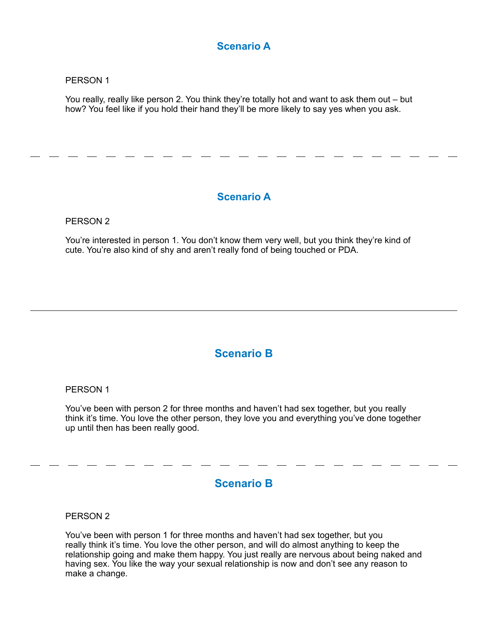# **Scenario A**

#### PERSON 1

You really, really like person 2. You think they're totally hot and want to ask them out – but how? You feel like if you hold their hand they'll be more likely to say yes when you ask.

## **Scenario A**

#### PERSON 2

You're interested in person 1. You don't know them very well, but you think they're kind of cute. You're also kind of shy and aren't really fond of being touched or PDA.

## **Scenario B**

#### PERSON 1

You've been with person 2 for three months and haven't had sex together, but you really think it's time. You love the other person, they love you and everything you've done together up until then has been really good.

# **Scenario B**

PERSON 2

You've been with person 1 for three months and haven't had sex together, but you really think it's time. You love the other person, and will do almost anything to keep the relationship going and make them happy. You just really are nervous about being naked and having sex. You like the way your sexual relationship is now and don't see any reason to make a change.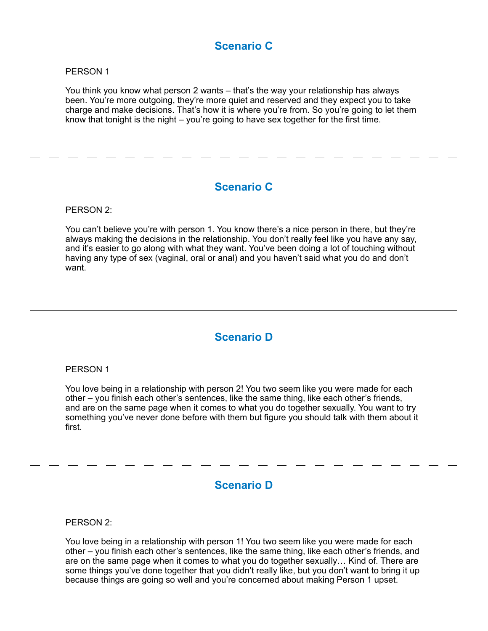# **Scenario C**

#### PERSON 1

You think you know what person 2 wants – that's the way your relationship has always been. You're more outgoing, they're more quiet and reserved and they expect you to take charge and make decisions. That's how it is where you're from. So you're going to let them know that tonight is the night – you're going to have sex together for the first time.

# **Scenario C**

PERSON 2:

You can't believe you're with person 1. You know there's a nice person in there, but they're always making the decisions in the relationship. You don't really feel like you have any say, and it's easier to go along with what they want. You've been doing a lot of touching without having any type of sex (vaginal, oral or anal) and you haven't said what you do and don't want.

# **Scenario D**

#### PERSON 1

You love being in a relationship with person 2! You two seem like you were made for each other – you finish each other's sentences, like the same thing, like each other's friends, and are on the same page when it comes to what you do together sexually. You want to try something you've never done before with them but figure you should talk with them about it first.

## **Scenario D**

PERSON 2:

You love being in a relationship with person 1! You two seem like you were made for each other – you finish each other's sentences, like the same thing, like each other's friends, and are on the same page when it comes to what you do together sexually… Kind of. There are some things you've done together that you didn't really like, but you don't want to bring it up because things are going so well and you're concerned about making Person 1 upset.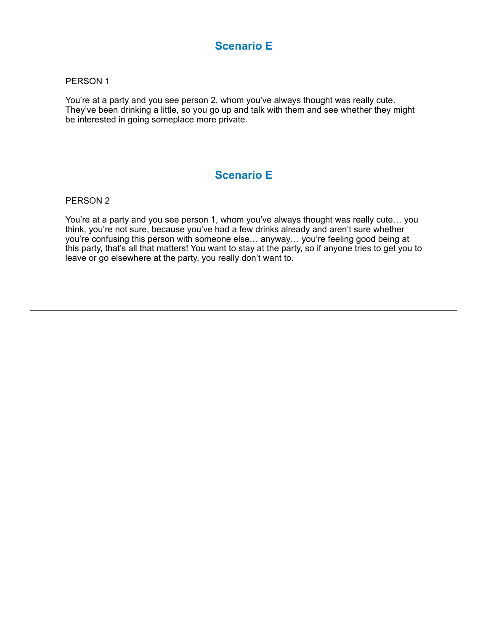# **Scenario E**

#### PERSON 1

You're at a party and you see person 2, whom you've always thought was really cute. They've been drinking a little, so you go up and talk with them and see whether they might be interested in going someplace more private.

# **Scenario E**

#### PERSON 2

You're at a party and you see person 1, whom you've always thought was really cute… you think, you're not sure, because you've had a few drinks already and aren't sure whether you're confusing this person with someone else… anyway… you're feeling good being at this party, that's all that matters! You want to stay at the party, so if anyone tries to get you to leave or go elsewhere at the party, you really don't want to.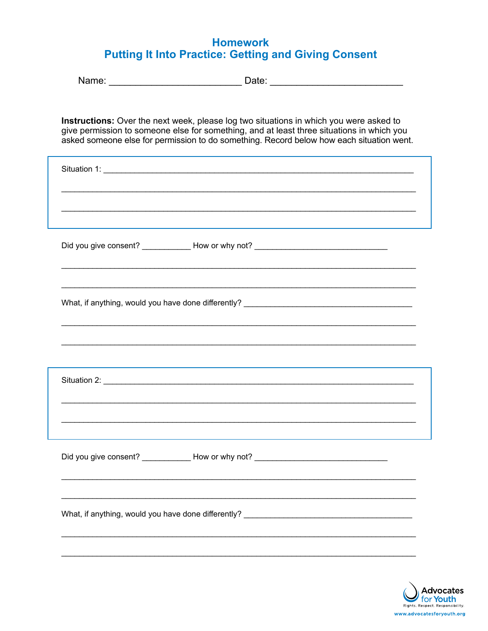# **Homework Putting It Into Practice: Getting and Giving Consent**

| Instructions: Over the next week, please log two situations in which you were asked to<br>give permission to someone else for something, and at least three situations in which you<br>asked someone else for permission to do something. Record below how each situation went. |
|---------------------------------------------------------------------------------------------------------------------------------------------------------------------------------------------------------------------------------------------------------------------------------|
|                                                                                                                                                                                                                                                                                 |
|                                                                                                                                                                                                                                                                                 |
| Did you give consent? _____________ How or why not? ____________________________                                                                                                                                                                                                |
|                                                                                                                                                                                                                                                                                 |
|                                                                                                                                                                                                                                                                                 |
|                                                                                                                                                                                                                                                                                 |
| Did you give consent? ______________ How or why not? ____________________________                                                                                                                                                                                               |
|                                                                                                                                                                                                                                                                                 |
|                                                                                                                                                                                                                                                                                 |